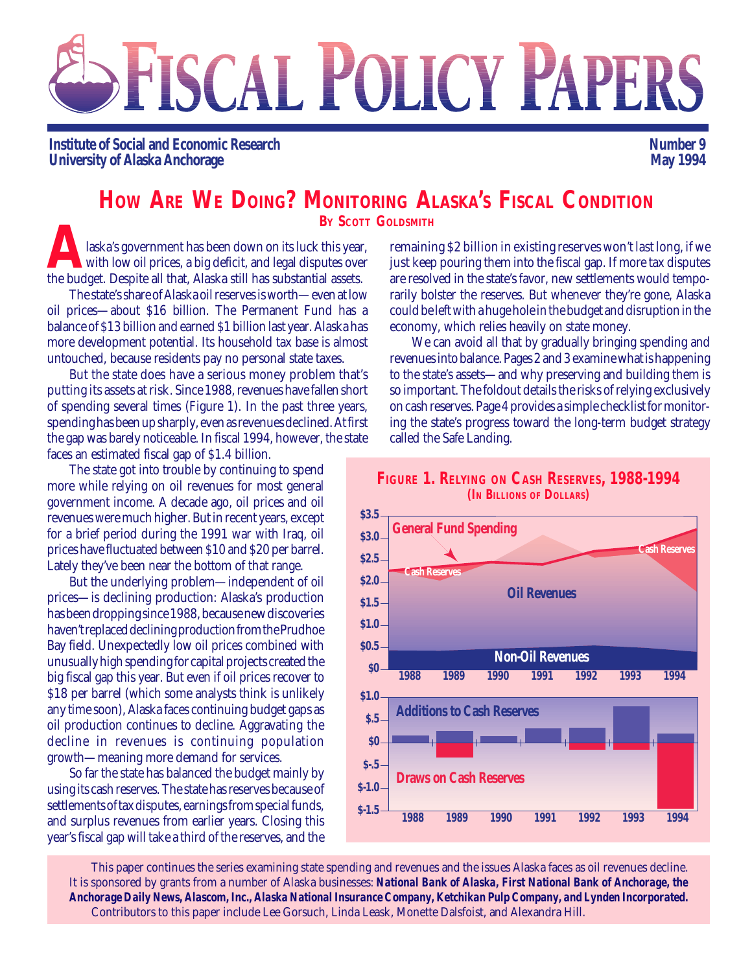# FISCAL POLICY PAPERS

**Institute of Social and Economic Research University of Alaska Anchorage**

**Number 9 May 1994**

# **HOW ARE WE DOING? MONITORING ALASKA'S FISCAL CONDITION**

laska's government has been down on its luck this year, with low oil prices, a big deficit, and legal disputes over the budget. Despite all that, Alaska still has substantial assets. **BY SCOTT GOLDSMITH**<br>
laska's government has been down on its luck this year, remaining<br>
with low oil prices, a big deficit, and legal disputes over just keep<br>
the budget. Despite all that. Alaska still has substantial ass

The state's share of Alaska oil reserves is worth—even at low oil prices—about \$16 billion. The Permanent Fund has a balance of \$13 billion and earned \$1 billion last year. Alaska has more development potential. Its household tax base is almost untouched, because residents pay no personal state taxes.

But the state does have a serious money problem that's putting its assets at risk. Since 1988, revenues have fallen short of spending several times (Figure 1). In the past three years, spending has been up sharply, even as revenues declined. At first the gap was barely noticeable. In fiscal 1994, however, the state faces an estimated fiscal gap of \$1.4 billion.

The state got into trouble by continuing to spend more while relying on oil revenues for most general government income. A decade ago, oil prices and oil revenues were much higher. But in recent years, except for a brief period during the 1991 war with Iraq, oil prices have fluctuated between \$10 and \$20 per barrel. Lately they've been near the bottom of that range.

But the underlying problem—independent of oil prices—is declining production: Alaska's production has been dropping since 1988, because new discoveries haven't replaced declining production from the Prudhoe Bay field. Unexpectedly low oil prices combined with unusually high spending for capital projects created the big fiscal gap this year. But even if oil prices recover to \$18 per barrel (which some analysts think is unlikely any time soon), Alaska faces continuing budget gaps as oil production continues to decline. Aggravating the decline in revenues is continuing population growth—meaning more demand for services.

So far the state has balanced the budget mainly by using its cash reserves. The state has reserves because of settlements of tax disputes, earnings from special funds, and surplus revenues from earlier years. Closing this year's fiscal gap will take a third of the reserves, and the

remaining \$2 billion in existing reserves won't last long, if we just keep pouring them into the fiscal gap. If more tax disputes are resolved in the state's favor, new settlements would temporarily bolster the reserves. But whenever they're gone, Alaska could be left with a huge hole in the budget and disruption in the economy, which relies heavily on state money.

We can avoid all that by gradually bringing spending and revenues into balance. Pages 2 and 3 examine what is happening to the state's assets—and why preserving and building them is so important. The foldout details the risks of relying exclusively on cash reserves. Page 4 provides a simple checklist for monitoring the state's progress toward the long-term budget strategy called the Safe Landing.



This paper continues the series examining state spending and revenues and the issues Alaska faces as oil revenues decline. It is sponsored by grants from a number of Alaska businesses: *National Bank of Alaska, First National Bank of Anchorage, the Anchorage Daily News, Alascom, Inc., Alaska National Insurance Company, Ketchikan Pulp Company, and Lynden Incorporated.* Contributors to this paper include Lee Gorsuch, Linda Leask, Monette Dalsfoist, and Alexandra Hill.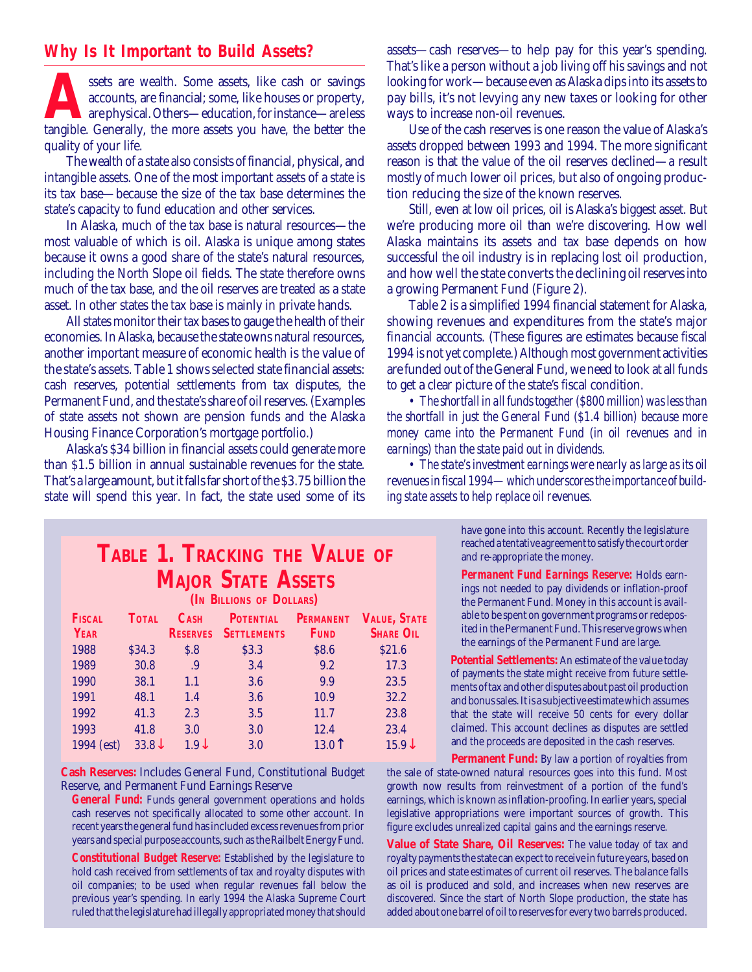#### **Why Is It Important to Build Assets?**

ssets are wealth. Some assets, like cash or savings accounts, are financial; some, like houses or property, are physical. Others—education, for instance—are less tangible. Generally, the more assets you have, the better th accounts, are financial; some, like houses or property, are physical. Others—education, for instance—are less quality of your life.

The wealth of a state also consists of financial, physical, and intangible assets. One of the most important assets of a state is its tax base—because the size of the tax base determines the state's capacity to fund education and other services.

In Alaska, much of the tax base is natural resources—the most valuable of which is oil. Alaska is unique among states because it owns a good share of the state's natural resources, including the North Slope oil fields. The state therefore owns much of the tax base, and the oil reserves are treated as a state asset. In other states the tax base is mainly in private hands.

All states monitor their tax bases to gauge the health of their economies. In Alaska, because the state owns natural resources, another important measure of economic health is the value of the state's assets. Table 1 shows selected state financial assets: cash reserves, potential settlements from tax disputes, the Permanent Fund, and the state's share of oil reserves. (Examples of state assets not shown are pension funds and the Alaska Housing Finance Corporation's mortgage portfolio.)

Alaska's \$34 billion in financial assets could generate more than \$1.5 billion in annual sustainable revenues for the state. That's a large amount, but it falls far short of the \$3.75 billion the state will spend this year. In fact, the state used some of its assets—cash reserves—to help pay for this year's spending. That's like a person without a job living off his savings and not looking for work—because even as Alaska dips into its assets to pay bills, it's not levying any new taxes or looking for other ways to increase non-oil revenues.

Use of the cash reserves is one reason the value of Alaska's assets dropped between 1993 and 1994. The more significant reason is that the value of the oil reserves declined—a result mostly of much lower oil prices, but also of ongoing production reducing the size of the known reserves.

Still, even at low oil prices, oil is Alaska's biggest asset. But we're producing more oil than we're discovering. How well Alaska maintains its assets and tax base depends on how successful the oil industry is in replacing lost oil production, and how well the state converts the declining oil reserves into a growing Permanent Fund (Figure 2).

Table 2 is a simplified 1994 financial statement for Alaska, showing revenues and expenditures from the state's major financial accounts. (These figures are estimates because fiscal 1994 is not yet complete.) Although most government activities are funded out of the General Fund, we need to look at all funds to get a clear picture of the state's fiscal condition.

*• The shortfall in all funds together (\$800 million) was less than the shortfall in just the General Fund (\$1.4 billion) because more money came into the Permanent Fund (in oil revenues and in earnings) than the state paid out in dividends.*

*• The state's investment earnings were nearly as large as its oil revenues in fiscal 1994—which underscores the importance of building state assets to help replace oil revenues.*

#### have gone into this account. Recently the legislature reached a tentative agreement to satisfy the court order and re-appropriate the money.

*Permanent Fund Earnings Reserve:* Holds earnings not needed to pay dividends or inflation-proof the Permanent Fund. Money in this account is available to be spent on government programs or redeposited in the Permanent Fund. This reserve grows when the earnings of the Permanent Fund are large.

**Potential Settlements:** An estimate of the value today of payments the state might receive from future settlements of tax and other disputes about past oil production and bonus sales. It is a subjective estimate which assumes that the state will receive 50 cents for every dollar claimed. This account declines as disputes are settled and the proceeds are deposited in the cash reserves.

**Permanent Fund:** By law a portion of royalties from the sale of state-owned natural resources goes into this fund. Most growth now results from reinvestment of a portion of the fund's earnings, which is known as inflation-proofing. In earlier years, special legislative appropriations were important sources of growth. This figure excludes unrealized capital gains and the earnings reserve.

**Value of State Share, Oil Reserves:** The value today of tax and royalty payments the state can expect to receive in future years, based on oil prices and state estimates of current oil reserves. The balance falls as oil is produced and sold, and increases when new reserves are discovered. Since the start of North Slope production, the state has added about one barrel of oil to reserves for every two barrels produced.

#### **TABLE 1. TRACKING THE VALUE OF MAJOR STATE ASSETS (IN BILLIONS OF DOLLARS)**

| <b>FISCAL</b> | <b>TOTAL</b>   | C <sub>ASH</sub> | <b>POTENTIAL</b>   | <b>PERMANENT</b> | <b>VALUE, STATE</b> |
|---------------|----------------|------------------|--------------------|------------------|---------------------|
| <b>YEAR</b>   |                | <b>RESERVES</b>  | <b>SETTLEMENTS</b> | <b>FUND</b>      | <b>SHARE OIL</b>    |
| 1988          | \$34.3         | S.8              | \$3.3              | \$8.6            | \$21.6              |
| 1989          | 30.8           | .9               | 3.4                | 9.2              | 17.3                |
| 1990          | 38.1           | 1.1              | 3.6                | 9.9              | 23.5                |
| 1991          | 48.1           | 1.4              | 3.6                | 10.9             | 32.2                |
| 1992          | 41.3           | 2.3              | 3.5                | 11.7             | 23.8                |
| 1993          | 41.8           | 3.0              | 3.0                | 12.4             | 23.4                |
| 1994 (est)    | $33.8\text{V}$ | $1.9\downarrow$  | 3.0                | 13.0             | $15.9\text{J}$      |

**Cash Reserves:** Includes General Fund, Constitutional Budget Reserve, and Permanent Fund Earnings Reserve

*General Fund:* Funds general government operations and holds cash reserves not specifically allocated to some other account. In recent years the general fund has included excess revenues from prior years and special purpose accounts, such as the Railbelt Energy Fund.

*Constitutional Budget Reserve:* Established by the legislature to hold cash received from settlements of tax and royalty disputes with oil companies; to be used when regular revenues fall below the previous year's spending. In early 1994 the Alaska Supreme Court ruled that the legislature had illegally appropriated money that should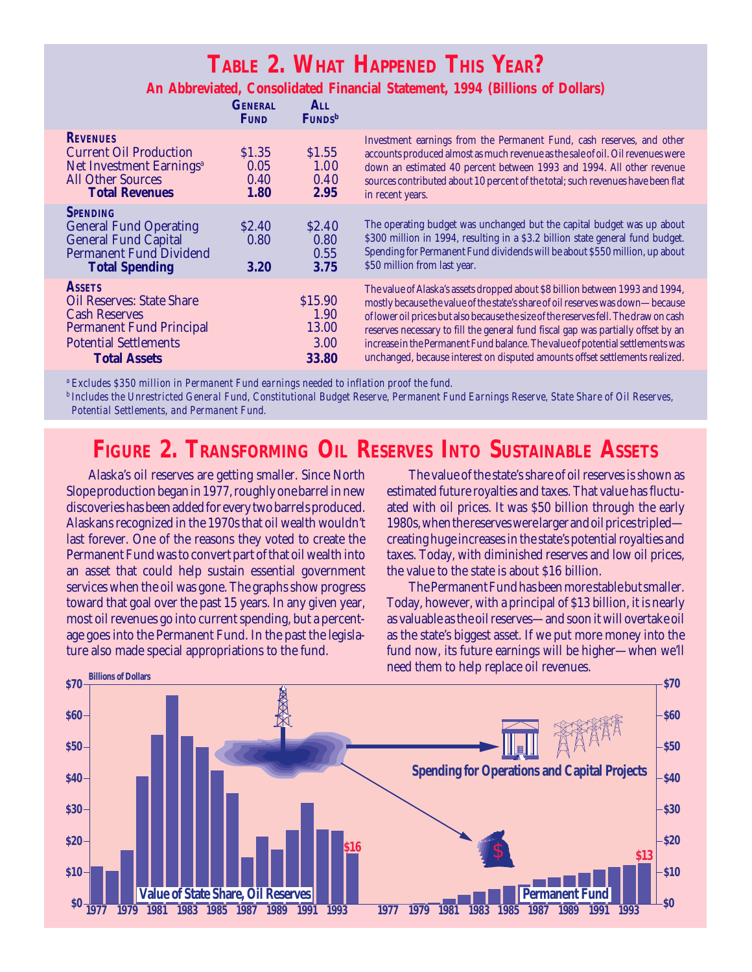## **TABLE 2. WHAT HAPPENED THIS YEAR?**

#### **An Abbreviated, Consolidated Financial Statement, 1994 (Billions of Dollars)**

|                                                                                                                                                                     | <b>GENERAL</b><br><b>FUND</b>     | ALL<br><b>FUNDS</b> <sup>b</sup>          |                                                                                                                                                                                                                                                                                                                                                                                                                                                                                                                |
|---------------------------------------------------------------------------------------------------------------------------------------------------------------------|-----------------------------------|-------------------------------------------|----------------------------------------------------------------------------------------------------------------------------------------------------------------------------------------------------------------------------------------------------------------------------------------------------------------------------------------------------------------------------------------------------------------------------------------------------------------------------------------------------------------|
| <b>REVENUES</b><br><b>Current Oil Production</b><br>Net Investment Earnings <sup>a</sup><br><b>All Other Sources</b><br><b>Total Revenues</b>                       | \$1.35<br>0.05<br>0.40<br>1.80    | \$1.55<br>1.00<br>0.40<br>2.95            | Investment earnings from the Permanent Fund, cash reserves, and other<br>accounts produced almost as much revenue as the sale of oil. Oil revenues were<br>down an estimated 40 percent between 1993 and 1994. All other revenue<br>sources contributed about 10 percent of the total; such revenues have been flat<br>in recent years.                                                                                                                                                                        |
| <b>SPENDING</b><br><b>General Fund Operating</b><br><b>General Fund Capital</b><br><b>Permanent Fund Dividend</b><br><b>Total Spending</b>                          | S <sub>2.40</sub><br>0.80<br>3.20 | S <sub>2.40</sub><br>0.80<br>0.55<br>3.75 | The operating budget was unchanged but the capital budget was up about<br>\$300 million in 1994, resulting in a \$3.2 billion state general fund budget.<br>Spending for Permanent Fund dividends will be about \$550 million, up about<br>\$50 million from last year.                                                                                                                                                                                                                                        |
| <b>ASSETS</b><br><b>Oil Reserves: State Share</b><br><b>Cash Reserves</b><br><b>Permanent Fund Principal</b><br><b>Potential Settlements</b><br><b>Total Assets</b> |                                   | \$15.90<br>1.90<br>13.00<br>3.00<br>33.80 | The value of Alaska's assets dropped about \$8 billion between 1993 and 1994,<br>mostly because the value of the state's share of oil reserves was down-because<br>of lower oil prices but also because the size of the reserves fell. The draw on cash<br>reserves necessary to fill the general fund fiscal gap was partially offset by an<br>increase in the Permanent Fund balance. The value of potential settlements was<br>unchanged, because interest on disputed amounts offset settlements realized. |

*<sup>a</sup> Excludes \$350 million in Permanent Fund earnings needed to inflation proof the fund.*

*<sup>b</sup> Includes the Unrestricted General Fund, Constitutional Budget Reserve, Permanent Fund Earnings Reserve, State Share of Oil Reserves, Potential Settlements, and Permanent Fund.*

# **FIGURE 2. TRANSFORMING OIL RESERVES INTO SUSTAINABLE ASSETS**

Alaska's oil reserves are getting smaller. Since North Slope production began in 1977, roughly one barrel in new discoveries has been added for every two barrels produced. Alaskans recognized in the 1970s that oil wealth wouldn't last forever. One of the reasons they voted to create the Permanent Fund was to convert part of that oil wealth into an asset that could help sustain essential government services when the oil was gone. The graphs show progress toward that goal over the past 15 years. In any given year, most oil revenues go into current spending, but a percentage goes into the Permanent Fund. In the past the legislature also made special appropriations to the fund.

The value of the state's share of oil reserves is shown as estimated future royalties and taxes. That value has fluctuated with oil prices. It was \$50 billion through the early 1980s, when the reserves were larger and oil prices tripled creating huge increases in the state's potential royalties and taxes. Today, with diminished reserves and low oil prices, the value to the state is about \$16 billion.

The Permanent Fund has been more stable but smaller. Today, however, with a principal of \$13 billion, it is nearly as valuable as the oil reserves—and soon it will overtake oil as the state's biggest asset. If we put more money into the fund now, its future earnings will be higher—when we'll need them to help replace oil revenues.